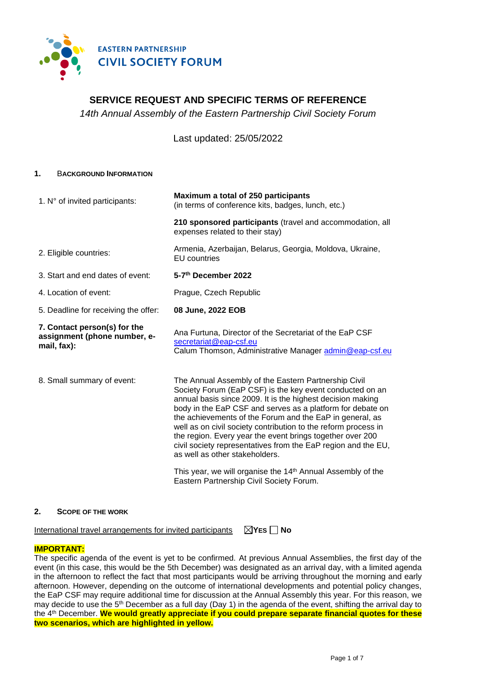

# **SERVICE REQUEST AND SPECIFIC TERMS OF REFERENCE**

*14th Annual Assembly of the Eastern Partnership Civil Society Forum*

Last updated: 25/05/2022

#### **1.** B**ACKGROUND INFORMATION**

| 1. N° of invited participants:                                              | Maximum a total of 250 participants<br>(in terms of conference kits, badges, lunch, etc.)                                                                                                                                                                                                                                                                                                                                                                                                                                                  |
|-----------------------------------------------------------------------------|--------------------------------------------------------------------------------------------------------------------------------------------------------------------------------------------------------------------------------------------------------------------------------------------------------------------------------------------------------------------------------------------------------------------------------------------------------------------------------------------------------------------------------------------|
|                                                                             | 210 sponsored participants (travel and accommodation, all<br>expenses related to their stay)                                                                                                                                                                                                                                                                                                                                                                                                                                               |
| 2. Eligible countries:                                                      | Armenia, Azerbaijan, Belarus, Georgia, Moldova, Ukraine,<br><b>EU</b> countries                                                                                                                                                                                                                                                                                                                                                                                                                                                            |
| 3. Start and end dates of event:                                            | 5-7th December 2022                                                                                                                                                                                                                                                                                                                                                                                                                                                                                                                        |
| 4. Location of event:                                                       | Prague, Czech Republic                                                                                                                                                                                                                                                                                                                                                                                                                                                                                                                     |
| 5. Deadline for receiving the offer:                                        | 08 June, 2022 EOB                                                                                                                                                                                                                                                                                                                                                                                                                                                                                                                          |
| 7. Contact person(s) for the<br>assignment (phone number, e-<br>mail, fax): | Ana Furtuna, Director of the Secretariat of the EaP CSF<br>secretariat@eap-csf.eu<br>Calum Thomson, Administrative Manager admin@eap-csf.eu                                                                                                                                                                                                                                                                                                                                                                                                |
| 8. Small summary of event:                                                  | The Annual Assembly of the Eastern Partnership Civil<br>Society Forum (EaP CSF) is the key event conducted on an<br>annual basis since 2009. It is the highest decision making<br>body in the EaP CSF and serves as a platform for debate on<br>the achievements of the Forum and the EaP in general, as<br>well as on civil society contribution to the reform process in<br>the region. Every year the event brings together over 200<br>civil society representatives from the EaP region and the EU,<br>as well as other stakeholders. |
|                                                                             | This year, we will organise the 14 <sup>th</sup> Annual Assembly of the<br>Eastern Partnership Civil Society Forum.                                                                                                                                                                                                                                                                                                                                                                                                                        |

#### **2. SCOPE OF THE WORK**

International travel arrangements for invited participants **YES No**

#### **IMPORTANT:**

The specific agenda of the event is yet to be confirmed. At previous Annual Assemblies, the first day of the event (in this case, this would be the 5th December) was designated as an arrival day, with a limited agenda in the afternoon to reflect the fact that most participants would be arriving throughout the morning and early afternoon. However, depending on the outcome of international developments and potential policy changes, the EaP CSF may require additional time for discussion at the Annual Assembly this year. For this reason, we may decide to use the 5<sup>th</sup> December as a full day (Day 1) in the agenda of the event, shifting the arrival day to the 4th December. **We would greatly appreciate if you could prepare separate financial quotes for these two scenarios, which are highlighted in yellow.**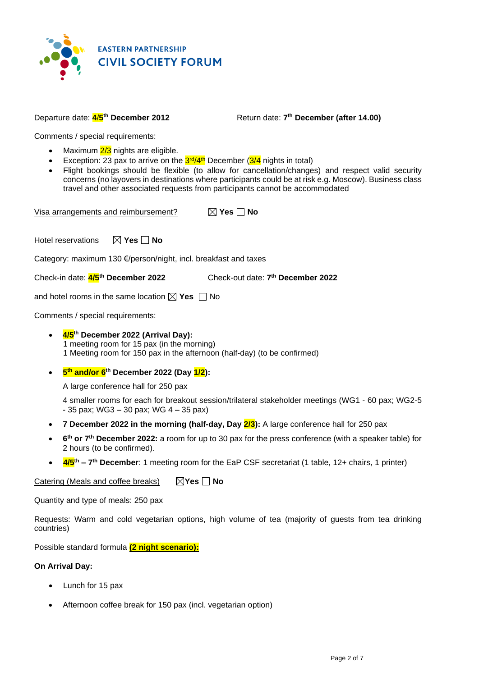

#### Departure date: **4**/**5 th December 2012** Return date: **7**

Return date: 7<sup>th</sup> December (after 14.00)

Comments / special requirements:

- Maximum  $2/3$  nights are eligible.
- Exception: 23 pax to arrive on the **3<sup>rd</sup>/4<sup>th</sup> December (3/4** nights in total)
- Flight bookings should be flexible (to allow for cancellation/changes) and respect valid security concerns (no layovers in destinations where participants could be at risk e.g. Moscow). Business class travel and other associated requests from participants cannot be accommodated

| Visa arrangements and reimbursement? | $\boxtimes$ Yes $\Box$ No |
|--------------------------------------|---------------------------|
|--------------------------------------|---------------------------|

Hotel reservations  $\boxtimes$  **Yes**  $\Box$  **No** 

Category: maximum 130 €/person/night, incl. breakfast and taxes

Check-in date: **4/5 th December 2022** Check-out date: **7**

Check-out date: 7<sup>th</sup> December 2022

and hotel rooms in the same location  $\boxtimes$  Yes  $\Box$  No

Comments / special requirements:

- **4/5 th December 2022 (Arrival Day):** 1 meeting room for 15 pax (in the morning) 1 Meeting room for 150 pax in the afternoon (half-day) (to be confirmed)
- **5 th and/or 6 th December 2022 (Day 1/2):**

A large conference hall for 250 pax

4 smaller rooms for each for breakout session/trilateral stakeholder meetings (WG1 - 60 pax; WG2-5  $-35$  pax; WG3  $-30$  pax; WG  $4 - 35$  pax)

- **7 December 2022 in the morning (half-day, Day 2/3):** A large conference hall for 250 pax
- **6 th or 7 th December 2022:** a room for up to 30 pax for the press conference (with a speaker table) for 2 hours (to be confirmed).
- **4/5<sup>th</sup> 7<sup>th</sup> December**: 1 meeting room for the EaP CSF secretariat (1 table, 12+ chairs, 1 printer)

Catering (Meals and coffee breaks) **Yes No**

Quantity and type of meals: 250 pax

Requests: Warm and cold vegetarian options, high volume of tea (majority of guests from tea drinking countries)

Possible standard formula **(2 night scenario):**

## **On Arrival Day:**

- Lunch for 15 pax
- Afternoon coffee break for 150 pax (incl. vegetarian option)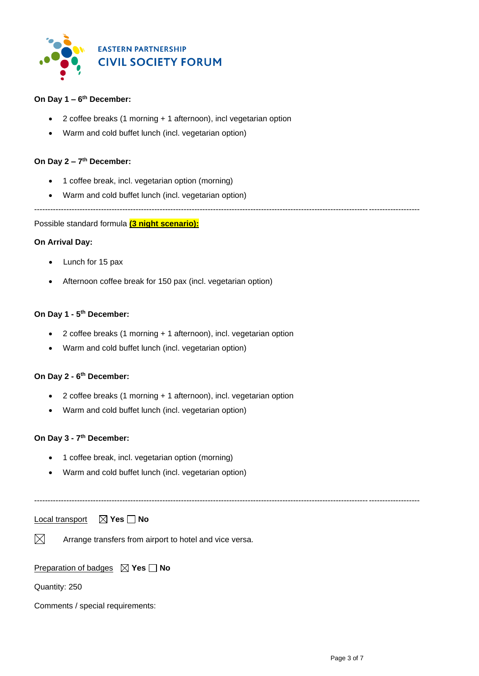

## **On Day 1 – 6 th December:**

- 2 coffee breaks (1 morning + 1 afternoon), incl vegetarian option
- Warm and cold buffet lunch (incl. vegetarian option)

### **On Day 2 – 7 th December:**

- 1 coffee break, incl. vegetarian option (morning)
- Warm and cold buffet lunch (incl. vegetarian option)

------------------------------------------------------------------------------------------------------------------------------------------------

Possible standard formula **(3 night scenario):**

### **On Arrival Day:**

- Lunch for 15 pax
- Afternoon coffee break for 150 pax (incl. vegetarian option)

### **On Day 1 - 5 th December:**

- 2 coffee breaks (1 morning + 1 afternoon), incl. vegetarian option
- Warm and cold buffet lunch (incl. vegetarian option)

### **On Day 2 - 6 th December:**

- 2 coffee breaks (1 morning + 1 afternoon), incl. vegetarian option
- Warm and cold buffet lunch (incl. vegetarian option)

### **On Day 3 - 7 th December:**

- 1 coffee break, incl. vegetarian option (morning)
- Warm and cold buffet lunch (incl. vegetarian option)

------------------------------------------------------------------------------------------------------------------------------------------------

Local transport **⊠ Yes No** 

 $\boxtimes$ Arrange transfers from airport to hotel and vice versa.

## Preparation of badges **Yes No**

Quantity: 250

Comments / special requirements: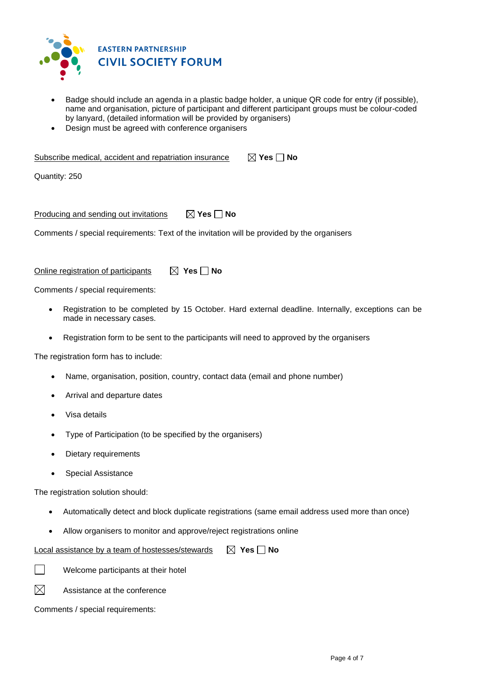

- Badge should include an agenda in a plastic badge holder, a unique QR code for entry (if possible), name and organisation, picture of participant and different participant groups must be colour-coded by lanyard, (detailed information will be provided by organisers)
- Design must be agreed with conference organisers

| Subscribe medical, accident and repatriation insurance | $\boxtimes$ Yes $\Box$ No |
|--------------------------------------------------------|---------------------------|
| Quantity: 250                                          |                           |
|                                                        |                           |

Producing and sending out invitations  $\boxtimes$  Yes  $\Box$  No

Comments / special requirements: Text of the invitation will be provided by the organisers

Online registration of participants  $\boxtimes$  **Yes**  $\Box$  **No** 

Comments / special requirements:

- Registration to be completed by 15 October. Hard external deadline. Internally, exceptions can be made in necessary cases.
- Registration form to be sent to the participants will need to approved by the organisers

The registration form has to include:

- Name, organisation, position, country, contact data (email and phone number)
- Arrival and departure dates
- Visa details
- Type of Participation (to be specified by the organisers)
- Dietary requirements
- Special Assistance

The registration solution should:

- Automatically detect and block duplicate registrations (same email address used more than once)
- Allow organisers to monitor and approve/reject registrations online

Local assistance by a team of hostesses/stewards **X** Yes **No** 

Welcome participants at their hotel

 $\boxtimes$ Assistance at the conference

Comments / special requirements: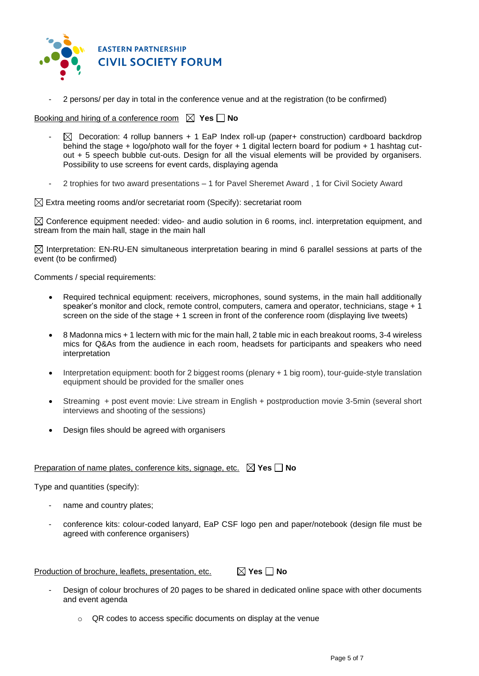

2 persons/ per day in total in the conference venue and at the registration (to be confirmed)

Booking and hiring of a conference room  $\boxtimes$  Yes  $\Box$  No

- $\boxtimes$  Decoration: 4 rollup banners + 1 EaP Index roll-up (paper+ construction) cardboard backdrop behind the stage + logo/photo wall for the foyer + 1 digital lectern board for podium + 1 hashtag cutout + 5 speech bubble cut-outs. Design for all the visual elements will be provided by organisers. Possibility to use screens for event cards, displaying agenda
- 2 trophies for two award presentations 1 for Pavel Sheremet Award , 1 for Civil Society Award

 $\boxtimes$  Extra meeting rooms and/or secretariat room (Specify): secretariat room

 $\boxtimes$  Conference equipment needed: video- and audio solution in 6 rooms, incl. interpretation equipment, and stream from the main hall, stage in the main hall

 $\boxtimes$  Interpretation: EN-RU-EN simultaneous interpretation bearing in mind 6 parallel sessions at parts of the event (to be confirmed)

Comments / special requirements:

- Required technical equipment: receivers, microphones, sound systems, in the main hall additionally speaker's monitor and clock, remote control, computers, camera and operator, technicians, stage + 1 screen on the side of the stage + 1 screen in front of the conference room (displaying live tweets)
- 8 Madonna mics + 1 lectern with mic for the main hall, 2 table mic in each breakout rooms, 3-4 wireless mics for Q&As from the audience in each room, headsets for participants and speakers who need interpretation
- Interpretation equipment: booth for 2 biggest rooms (plenary + 1 big room), tour-guide-style translation equipment should be provided for the smaller ones
- Streaming + post event movie: Live stream in English + postproduction movie 3-5min (several short interviews and shooting of the sessions)
- Design files should be agreed with organisers

### Preparation of name plates, conference kits, signage, etc. **X** Yes **No**

Type and quantities (specify):

- name and country plates;
- conference kits: colour-coded lanyard, EaP CSF logo pen and paper/notebook (design file must be agreed with conference organisers)

Production of brochure, leaflets, presentation, etc. **△ Yes No** 

- Design of colour brochures of 20 pages to be shared in dedicated online space with other documents and event agenda
	- o QR codes to access specific documents on display at the venue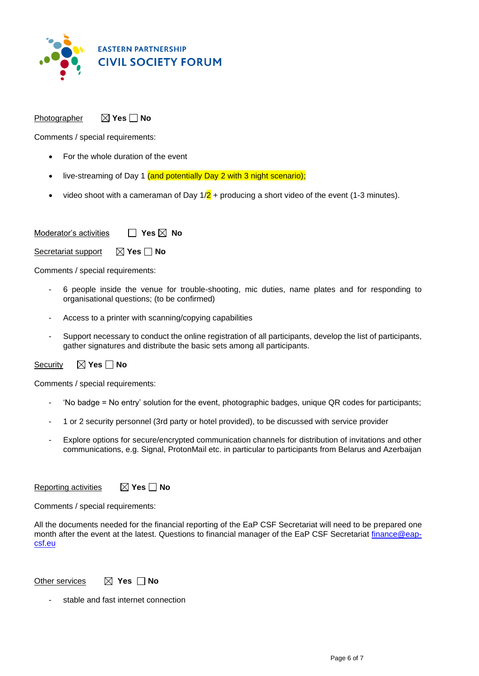

## Photographer **X** Yes **No**

Comments / special requirements:

- For the whole duration of the event
- live-streaming of Day 1 (and potentially Day 2 with 3 night scenario);
- video shoot with a cameraman of Day  $1/2$  + producing a short video of the event (1-3 minutes).

Moderator's activities **□ Yes ⊠ No** 

Secretariat support  $\boxtimes$  Yes  $\Box$  No

Comments / special requirements:

- 6 people inside the venue for trouble-shooting, mic duties, name plates and for responding to organisational questions; (to be confirmed)
- Access to a printer with scanning/copying capabilities
- Support necessary to conduct the online registration of all participants, develop the list of participants, gather signatures and distribute the basic sets among all participants.

## Security  $\boxtimes$  **Yes**  $\Box$  **No**

Comments / special requirements:

- 'No badge = No entry' solution for the event, photographic badges, unique QR codes for participants;
- 1 or 2 security personnel (3rd party or hotel provided), to be discussed with service provider
- Explore options for secure/encrypted communication channels for distribution of invitations and other communications, e.g. Signal, ProtonMail etc. in particular to participants from Belarus and Azerbaijan

**Reporting activities ■ X Yes ■ No** 

Comments / special requirements:

All the documents needed for the financial reporting of the EaP CSF Secretariat will need to be prepared one month after the event at the latest. Questions to financial manager of the EaP CSF Secretariat [finance@eap](mailto:finance@eap-csf.eu)[csf.eu](mailto:finance@eap-csf.eu)

Other services  $\qquad$  **Yes No** 

stable and fast internet connection